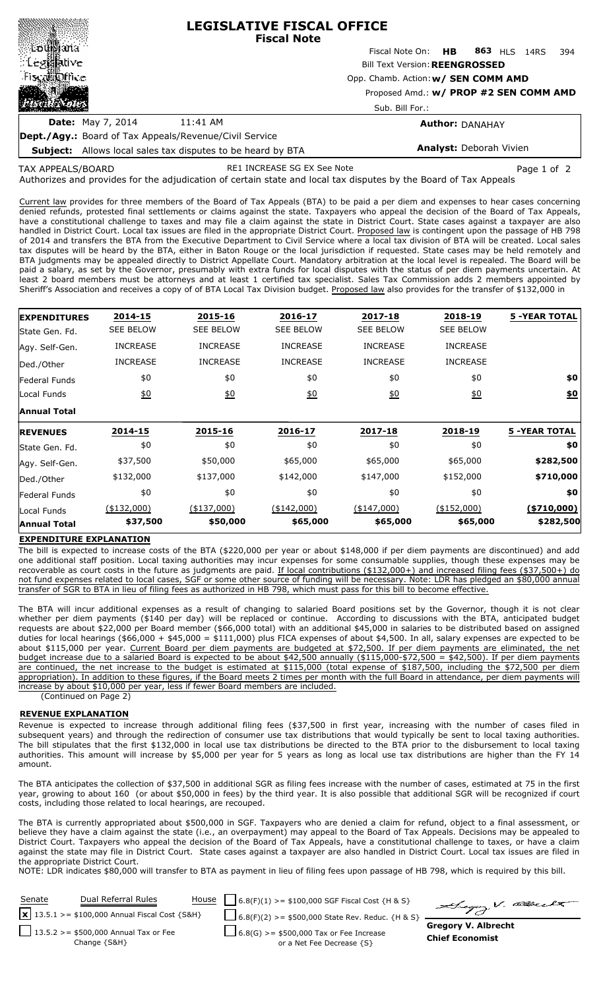|                                                               | <b>LEGISLATIVE FISCAL OFFICE</b><br><b>Fiscal Note</b> |                                        |  |  |  |  |     |  |  |  |  |
|---------------------------------------------------------------|--------------------------------------------------------|----------------------------------------|--|--|--|--|-----|--|--|--|--|
| ∷⊠aŭ∭ana<br>∷Legi∰ative                                       |                                                        | Fiscal Note On: HB 863 HLS 14RS        |  |  |  |  | 394 |  |  |  |  |
|                                                               |                                                        | <b>Bill Text Version: REENGROSSED</b>  |  |  |  |  |     |  |  |  |  |
| Fiscal office                                                 | Opp. Chamb. Action: w/ SEN COMM AMD                    |                                        |  |  |  |  |     |  |  |  |  |
| 1202.                                                         |                                                        | Proposed Amd.: w/ PROP #2 SEN COMM AMD |  |  |  |  |     |  |  |  |  |
|                                                               |                                                        | Sub. Bill For.:                        |  |  |  |  |     |  |  |  |  |
| <b>Date:</b> May 7, 2014                                      | 11:41 AM                                               | <b>Author: DANAHAY</b>                 |  |  |  |  |     |  |  |  |  |
| <b>Dept./Agy.:</b> Board of Tax Appeals/Revenue/Civil Service |                                                        |                                        |  |  |  |  |     |  |  |  |  |

**Subject:** Allows local sales tax disputes to be heard by BTA

**Analyst:** Deborah Vivien

Authorizes and provides for the adjudication of certain state and local tax disputes by the Board of Tax Appeals TAX APPEALS/BOARD RE1 INCREASE SG EX See Note **Page 1 of 2** Page 1 of 2

Current law provides for three members of the Board of Tax Appeals (BTA) to be paid a per diem and expenses to hear cases concerning denied refunds, protested final settlements or claims against the state. Taxpayers who appeal the decision of the Board of Tax Appeals, have a constitutional challenge to taxes and may file a claim against the state in District Court. State cases against a taxpayer are also handled in District Court. Local tax issues are filed in the appropriate District Court. Proposed law is contingent upon the passage of HB 798 of 2014 and transfers the BTA from the Executive Department to Civil Service where a local tax division of BTA will be created. Local sales tax disputes will be heard by the BTA, either in Baton Rouge or the local jurisdiction if requested. State cases may be held remotely and BTA judgments may be appealed directly to District Appellate Court. Mandatory arbitration at the local level is repealed. The Board will be paid a salary, as set by the Governor, presumably with extra funds for local disputes with the status of per diem payments uncertain. At least 2 board members must be attorneys and at least 1 certified tax specialist. Sales Tax Commission adds 2 members appointed by Sheriff's Association and receives a copy of of BTA Local Tax Division budget. Proposed law also provides for the transfer of \$132,000 in

| <b>EXPENDITURES</b>  | 2014-15          | 2015-16          | 2016-17          | 2017-18          | 2018-19          | <b>5 -YEAR TOTAL</b> |
|----------------------|------------------|------------------|------------------|------------------|------------------|----------------------|
| State Gen. Fd.       | <b>SEE BELOW</b> | <b>SEE BELOW</b> | <b>SEE BELOW</b> | <b>SEE BELOW</b> | <b>SEE BELOW</b> |                      |
| Agy. Self-Gen.       | <b>INCREASE</b>  | <b>INCREASE</b>  | <b>INCREASE</b>  | <b>INCREASE</b>  | <b>INCREASE</b>  |                      |
| Ded./Other           | <b>INCREASE</b>  | <b>INCREASE</b>  | <b>INCREASE</b>  | <b>INCREASE</b>  | <b>INCREASE</b>  |                      |
| <b>Federal Funds</b> | \$0              | \$0              | \$0              | \$0              | \$0              | \$0                  |
| Local Funds          | 60               | 60               | 60               | 60               | 60               | <u>\$0</u>           |
| <b>Annual Total</b>  |                  |                  |                  |                  |                  |                      |
| <b>REVENUES</b>      | 2014-15          | 2015-16          | 2016-17          | 2017-18          | 2018-19          | <b>5 -YEAR TOTAL</b> |
| State Gen. Fd.       | \$0              | \$0              | \$0              | \$0              | \$0              | \$0                  |
| Agy. Self-Gen.       | \$37,500         | \$50,000         | \$65,000         | \$65,000         | \$65,000         | \$282,500            |
| Ded./Other           | \$132,000        | \$137,000        | \$142,000        | \$147,000        | \$152,000        | \$710,000            |
| <b>Federal Funds</b> | \$0              | \$0              | \$0              | \$0              | \$0              | \$0                  |
| Local Funds          | $(*132,000)$     | $(*137,000)$     | $(*142,000)$     | $(*147,000)$     | $(*152,000)$     | ( \$710,000)         |
| <b>Annual Total</b>  | \$37,500         | \$50,000         | \$65,000         | \$65,000         | \$65,000         | \$282,500            |

## **EXPENDITURE EXPLANATION**

The bill is expected to increase costs of the BTA (\$220,000 per year or about \$148,000 if per diem payments are discontinued) and add one additional staff position. Local taxing authorities may incur expenses for some consumable supplies, though these expenses may be recoverable as court costs in the future as judgments are paid. If local contributions (\$132,000+) and increased filing fees (\$37,500+) do not fund expenses related to local cases, SGF or some other source of funding will be necessary. Note: LDR has pledged an \$80,000 annual transfer of SGR to BTA in lieu of filing fees as authorized in HB 798, which must pass for this bill to become effective.

The BTA will incur additional expenses as a result of changing to salaried Board positions set by the Governor, though it is not clear whether per diem payments (\$140 per day) will be replaced or continue. According to discussions with the BTA, anticipated budget requests are about \$22,000 per Board member (\$66,000 total) with an additional \$45,000 in salaries to be distributed based on assigned duties for local hearings (\$66,000 + \$45,000 = \$111,000) plus FICA expenses of about \$4,500. In all, salary expenses are expected to be about \$115,000 per year. Current Board per diem payments are budgeted at \$72,500. If per diem payments are eliminated, the net budget increase due to a salaried Board is expected to be about \$42,500 annually (\$115,000-\$72,500 = \$42,500). If per diem payments are continued, the net increase to the budget is estimated at \$115,000 (total expense of \$187,500, including the \$72,500 per diem appropriation). In addition to these figures, if the Board meets 2 times per month with the full Board in attendance, per diem payments will increase by about \$10,000 per year, less if fewer Board members are included.

(Continued on Page 2)

### **REVENUE EXPLANATION**

Revenue is expected to increase through additional filing fees (\$37,500 in first year, increasing with the number of cases filed in subsequent years) and through the redirection of consumer use tax distributions that would typically be sent to local taxing authorities. The bill stipulates that the first \$132,000 in local use tax distributions be directed to the BTA prior to the disbursement to local taxing authorities. This amount will increase by \$5,000 per year for 5 years as long as local use tax distributions are higher than the FY 14 amount.

The BTA anticipates the collection of \$37,500 in additional SGR as filing fees increase with the number of cases, estimated at 75 in the first year, growing to about 160 (or about \$50,000 in fees) by the third year. It is also possible that additional SGR will be recognized if court costs, including those related to local hearings, are recouped.

The BTA is currently appropriated about \$500,000 in SGF. Taxpayers who are denied a claim for refund, object to a final assessment, or believe they have a claim against the state (i.e., an overpayment) may appeal to the Board of Tax Appeals. Decisions may be appealed to District Court. Taxpayers who appeal the decision of the Board of Tax Appeals, have a constitutional challenge to taxes, or have a claim against the state may file in District Court. State cases against a taxpayer are also handled in District Court. Local tax issues are filed in the appropriate District Court.

NOTE: LDR indicates \$80,000 will transfer to BTA as payment in lieu of filing fees upon passage of HB 798, which is required by this bill.